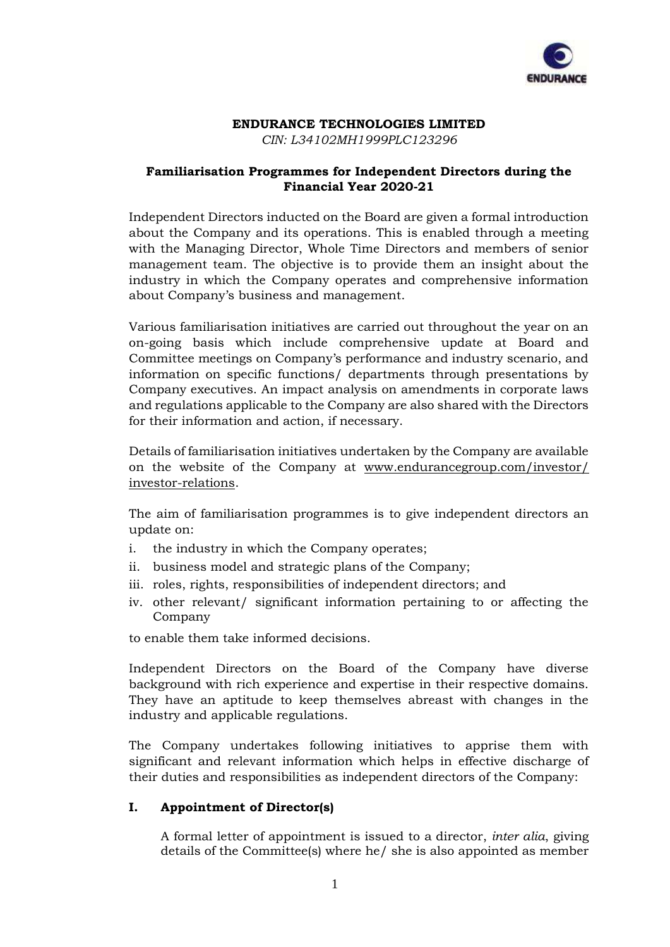

# **ENDURANCE TECHNOLOGIES LIMITED**

*CIN: L34102MH1999PLC123296*

## **Familiarisation Programmes for Independent Directors during the Financial Year 2020-21**

Independent Directors inducted on the Board are given a formal introduction about the Company and its operations. This is enabled through a meeting with the Managing Director, Whole Time Directors and members of senior management team. The objective is to provide them an insight about the industry in which the Company operates and comprehensive information about Company's business and management.

Various familiarisation initiatives are carried out throughout the year on an on-going basis which include comprehensive update at Board and Committee meetings on Company's performance and industry scenario, and information on specific functions/ departments through presentations by Company executives. An impact analysis on amendments in corporate laws and regulations applicable to the Company are also shared with the Directors for their information and action, if necessary.

Details of familiarisation initiatives undertaken by the Company are available on the website of the Company at [www.endurancegroup.com/investor/](http://www.endurancegroup.com/investor/) investor-relations.

The aim of familiarisation programmes is to give independent directors an update on:

- i. the industry in which the Company operates;
- ii. business model and strategic plans of the Company;
- iii. roles, rights, responsibilities of independent directors; and
- iv. other relevant/ significant information pertaining to or affecting the Company

to enable them take informed decisions.

Independent Directors on the Board of the Company have diverse background with rich experience and expertise in their respective domains. They have an aptitude to keep themselves abreast with changes in the industry and applicable regulations.

The Company undertakes following initiatives to apprise them with significant and relevant information which helps in effective discharge of their duties and responsibilities as independent directors of the Company:

## **I. Appointment of Director(s)**

A formal letter of appointment is issued to a director, *inter alia*, giving details of the Committee(s) where he/ she is also appointed as member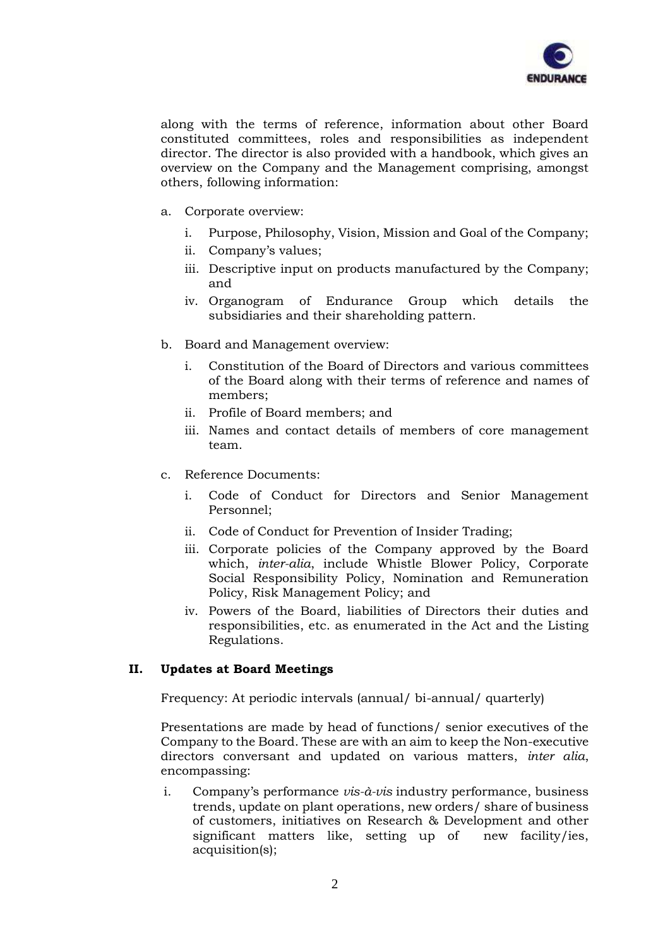

along with the terms of reference, information about other Board constituted committees, roles and responsibilities as independent director. The director is also provided with a handbook, which gives an overview on the Company and the Management comprising, amongst others, following information:

- a. Corporate overview:
	- i. Purpose, Philosophy, Vision, Mission and Goal of the Company;
	- ii. Company's values;
	- iii. Descriptive input on products manufactured by the Company; and
	- iv. Organogram of Endurance Group which details the subsidiaries and their shareholding pattern.
- b. Board and Management overview:
	- i. Constitution of the Board of Directors and various committees of the Board along with their terms of reference and names of members;
	- ii. Profile of Board members; and
	- iii. Names and contact details of members of core management team.
- c. Reference Documents:
	- i. Code of Conduct for Directors and Senior Management Personnel;
	- ii. Code of Conduct for Prevention of Insider Trading;
	- iii. Corporate policies of the Company approved by the Board which, *inter-alia*, include Whistle Blower Policy, Corporate Social Responsibility Policy, Nomination and Remuneration Policy, Risk Management Policy; and
	- iv. Powers of the Board, liabilities of Directors their duties and responsibilities, etc. as enumerated in the Act and the Listing Regulations.

### **II. Updates at Board Meetings**

Frequency: At periodic intervals (annual/ bi-annual/ quarterly)

Presentations are made by head of functions/ senior executives of the Company to the Board. These are with an aim to keep the Non-executive directors conversant and updated on various matters, *inter alia*, encompassing:

i. Company's performance *vis-à-vis* industry performance, business trends, update on plant operations, new orders/ share of business of customers, initiatives on Research & Development and other significant matters like, setting up of new facility/ies, acquisition(s);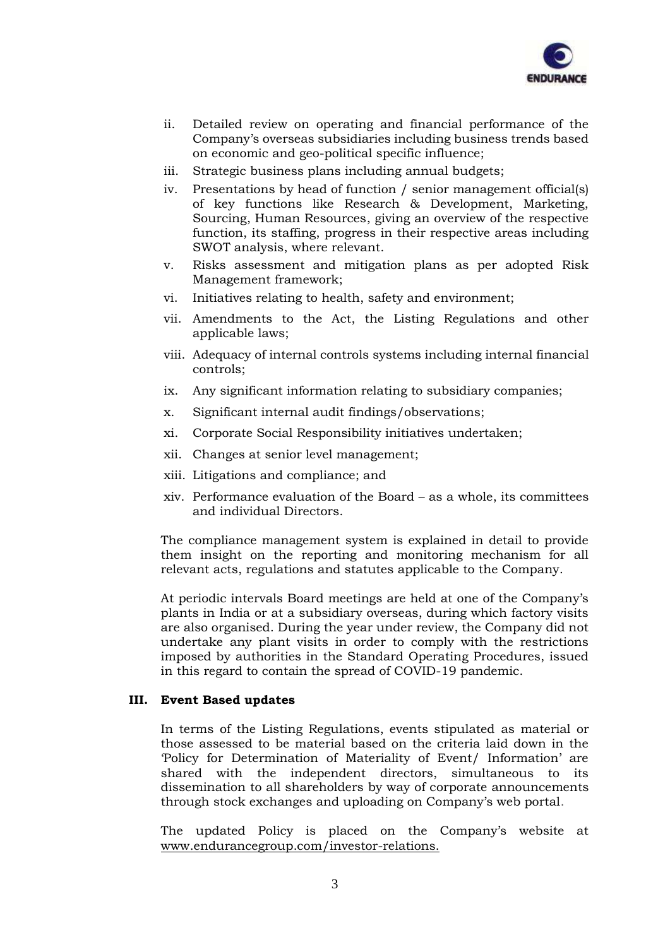

- ii. Detailed review on operating and financial performance of the Company's overseas subsidiaries including business trends based on economic and geo-political specific influence;
- iii. Strategic business plans including annual budgets;
- iv. Presentations by head of function / senior management official(s) of key functions like Research & Development, Marketing, Sourcing, Human Resources, giving an overview of the respective function, its staffing, progress in their respective areas including SWOT analysis, where relevant.
- v. Risks assessment and mitigation plans as per adopted Risk Management framework;
- vi. Initiatives relating to health, safety and environment;
- vii. Amendments to the Act, the Listing Regulations and other applicable laws;
- viii. Adequacy of internal controls systems including internal financial controls;
- ix. Any significant information relating to subsidiary companies;
- x. Significant internal audit findings/observations;
- xi. Corporate Social Responsibility initiatives undertaken;
- xii. Changes at senior level management;
- xiii. Litigations and compliance; and
- xiv. Performance evaluation of the Board as a whole, its committees and individual Directors.

The compliance management system is explained in detail to provide them insight on the reporting and monitoring mechanism for all relevant acts, regulations and statutes applicable to the Company.

At periodic intervals Board meetings are held at one of the Company's plants in India or at a subsidiary overseas, during which factory visits are also organised. During the year under review, the Company did not undertake any plant visits in order to comply with the restrictions imposed by authorities in the Standard Operating Procedures, issued in this regard to contain the spread of COVID-19 pandemic.

### **III. Event Based updates**

In terms of the Listing Regulations, events stipulated as material or those assessed to be material based on the criteria laid down in the 'Policy for Determination of Materiality of Event/ Information' are shared with the independent directors, simultaneous to its dissemination to all shareholders by way of corporate announcements through stock exchanges and uploading on Company's web portal.

The updated Policy is placed on the Company's website at www.endurancegroup.com/investor-relations.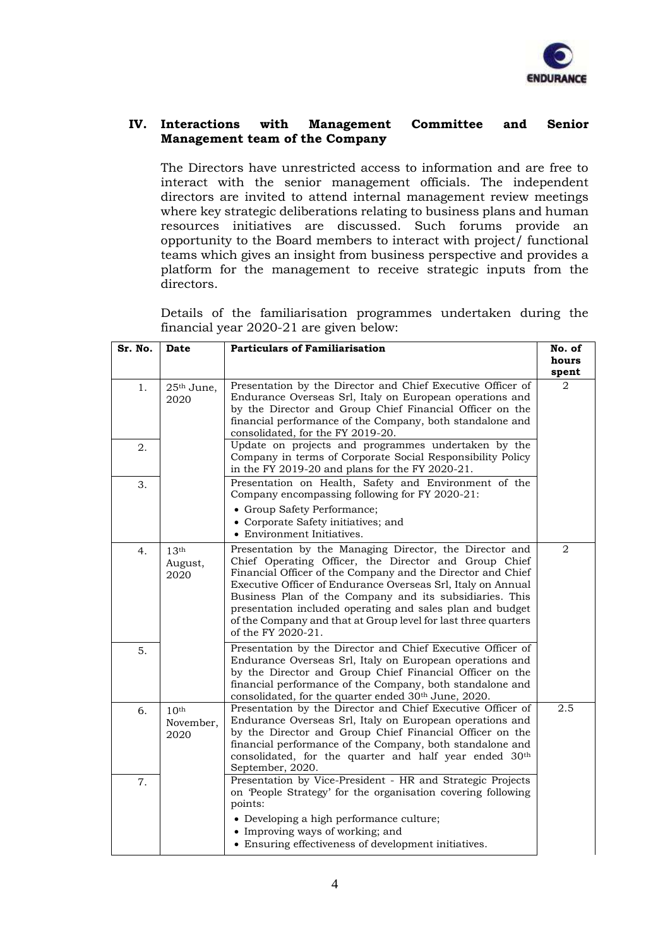

### **IV. Interactions with Management Committee and Senior Management team of the Company**

The Directors have unrestricted access to information and are free to interact with the senior management officials. The independent directors are invited to attend internal management review meetings where key strategic deliberations relating to business plans and human resources initiatives are discussed. Such forums provide an opportunity to the Board members to interact with project/ functional teams which gives an insight from business perspective and provides a platform for the management to receive strategic inputs from the directors.

Details of the familiarisation programmes undertaken during the financial year 2020-21 are given below:

| Sr. No. | Date                                  | <b>Particulars of Familiarisation</b>                                                                                                                                                                                                                                                                                                                                                                                                                           |                         |
|---------|---------------------------------------|-----------------------------------------------------------------------------------------------------------------------------------------------------------------------------------------------------------------------------------------------------------------------------------------------------------------------------------------------------------------------------------------------------------------------------------------------------------------|-------------------------|
|         |                                       |                                                                                                                                                                                                                                                                                                                                                                                                                                                                 |                         |
| 1.      | 25 <sup>th</sup> June,                | Presentation by the Director and Chief Executive Officer of                                                                                                                                                                                                                                                                                                                                                                                                     | spent<br>$\overline{2}$ |
|         | 2020                                  | Endurance Overseas Srl, Italy on European operations and<br>by the Director and Group Chief Financial Officer on the<br>financial performance of the Company, both standalone and<br>consolidated, for the FY 2019-20.                                                                                                                                                                                                                                          |                         |
| 2.      |                                       | Update on projects and programmes undertaken by the<br>Company in terms of Corporate Social Responsibility Policy<br>in the FY 2019-20 and plans for the FY 2020-21.                                                                                                                                                                                                                                                                                            |                         |
| 3.      |                                       | Presentation on Health, Safety and Environment of the<br>Company encompassing following for FY 2020-21:                                                                                                                                                                                                                                                                                                                                                         |                         |
|         |                                       | • Group Safety Performance;<br>• Corporate Safety initiatives; and<br>• Environment Initiatives.                                                                                                                                                                                                                                                                                                                                                                |                         |
| 4.      | 13 <sup>th</sup><br>August,<br>2020   | Presentation by the Managing Director, the Director and<br>Chief Operating Officer, the Director and Group Chief<br>Financial Officer of the Company and the Director and Chief<br>Executive Officer of Endurance Overseas Srl, Italy on Annual<br>Business Plan of the Company and its subsidiaries. This<br>presentation included operating and sales plan and budget<br>of the Company and that at Group level for last three quarters<br>of the FY 2020-21. | 2                       |
| 5.      |                                       | Presentation by the Director and Chief Executive Officer of<br>Endurance Overseas Srl, Italy on European operations and<br>by the Director and Group Chief Financial Officer on the<br>financial performance of the Company, both standalone and<br>consolidated, for the quarter ended 30th June, 2020.                                                                                                                                                        |                         |
| 6.      | 10 <sup>th</sup><br>November,<br>2020 | Presentation by the Director and Chief Executive Officer of<br>Endurance Overseas Srl, Italy on European operations and<br>by the Director and Group Chief Financial Officer on the<br>financial performance of the Company, both standalone and<br>consolidated, for the quarter and half year ended 30th<br>September, 2020.                                                                                                                                  | 2.5                     |
| 7.      |                                       | Presentation by Vice-President - HR and Strategic Projects<br>on 'People Strategy' for the organisation covering following<br>points:<br>• Developing a high performance culture;<br>• Improving ways of working; and<br>• Ensuring effectiveness of development initiatives.                                                                                                                                                                                   |                         |